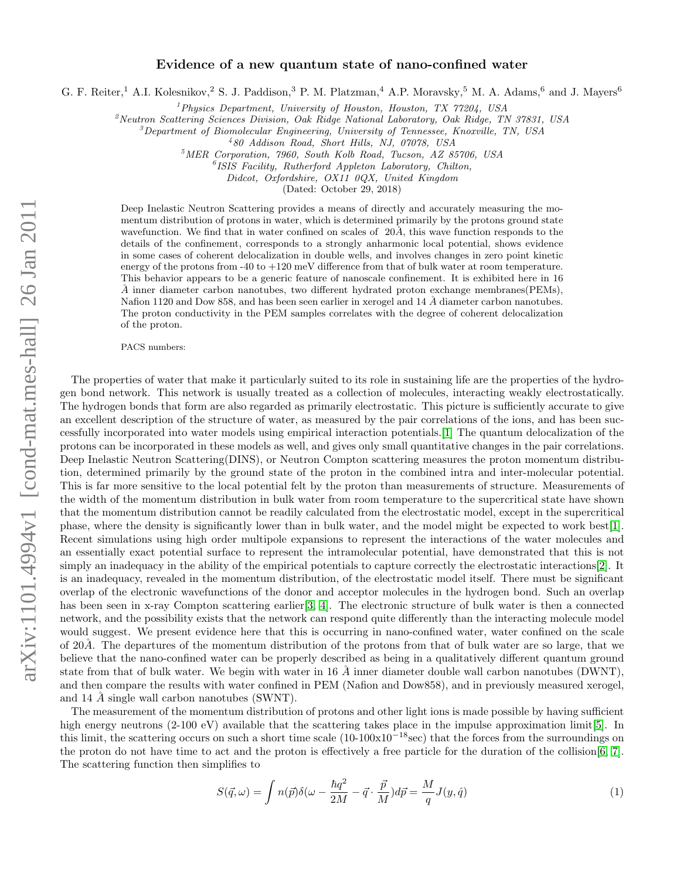## Evidence of a new quantum state of nano-confined water

G. F. Reiter,<sup>1</sup> A.I. Kolesnikov,<sup>2</sup> S. J. Paddison,<sup>3</sup> P. M. Platzman,<sup>4</sup> A.P. Moravsky,<sup>5</sup> M. A. Adams,<sup>6</sup> and J. Mayers<sup>6</sup>

 $1$ Physics Department, University of Houston, Houston, TX 77204, USA

 $\alpha^2$ Neutron Scattering Sciences Division, Oak Ridge National Laboratory, Oak Ridge, TN 37831, USA

<sup>3</sup>Department of Biomolecular Engineering, University of Tennessee, Knoxville, TN, USA

4 80 Addison Road, Short Hills, NJ, 07078, USA

<sup>5</sup>MER Corporation, 7960, South Kolb Road, Tucson, AZ 85706, USA

 ${}^{6}$ ISIS Facility, Rutherford Appleton Laboratory, Chilton,

Didcot, Oxfordshire, OX11 0QX, United Kingdom

(Dated: October 29, 2018)

Deep Inelastic Neutron Scattering provides a means of directly and accurately measuring the momentum distribution of protons in water, which is determined primarily by the protons ground state wavefunction. We find that in water confined on scales of  $20\AA$ , this wave function responds to the details of the confinement, corresponds to a strongly anharmonic local potential, shows evidence in some cases of coherent delocalization in double wells, and involves changes in zero point kinetic energy of the protons from  $-40$  to  $+120$  meV difference from that of bulk water at room temperature. This behavior appears to be a generic feature of nanoscale confinement. It is exhibited here in 16  $\AA$  inner diameter carbon nanotubes, two different hydrated proton exchange membranes(PEMs), Nafion 1120 and Dow 858, and has been seen earlier in xerogel and 14  $\AA$  diameter carbon nanotubes. The proton conductivity in the PEM samples correlates with the degree of coherent delocalization of the proton.

PACS numbers:

The properties of water that make it particularly suited to its role in sustaining life are the properties of the hydrogen bond network. This network is usually treated as a collection of molecules, interacting weakly electrostatically. The hydrogen bonds that form are also regarded as primarily electrostatic. This picture is sufficiently accurate to give an excellent description of the structure of water, as measured by the pair correlations of the ions, and has been successfully incorporated into water models using empirical interaction potentials.[\[1\]](#page-4-0) The quantum delocalization of the protons can be incorporated in these models as well, and gives only small quantitative changes in the pair correlations. Deep Inelastic Neutron Scattering(DINS), or Neutron Compton scattering measures the proton momentum distribution, determined primarily by the ground state of the proton in the combined intra and inter-molecular potential. This is far more sensitive to the local potential felt by the proton than measurements of structure. Measurements of the width of the momentum distribution in bulk water from room temperature to the supercritical state have shown that the momentum distribution cannot be readily calculated from the electrostatic model, except in the supercritical phase, where the density is significantly lower than in bulk water, and the model might be expected to work best[\[1\]](#page-4-0). Recent simulations using high order multipole expansions to represent the interactions of the water molecules and an essentially exact potential surface to represent the intramolecular potential, have demonstrated that this is not simply an inadequacy in the ability of the empirical potentials to capture correctly the electrostatic interactions[\[2\]](#page-4-1). It is an inadequacy, revealed in the momentum distribution, of the electrostatic model itself. There must be significant overlap of the electronic wavefunctions of the donor and acceptor molecules in the hydrogen bond. Such an overlap has been seen in x-ray Compton scattering earlier [\[3,](#page-4-2) [4\]](#page-4-3). The electronic structure of bulk water is then a connected network, and the possibility exists that the network can respond quite differently than the interacting molecule model would suggest. We present evidence here that this is occurring in nano-confined water, water confined on the scale of 20Å. The departures of the momentum distribution of the protons from that of bulk water are so large, that we believe that the nano-confined water can be properly described as being in a qualitatively different quantum ground state from that of bulk water. We begin with water in 16  $\AA$  inner diameter double wall carbon nanotubes (DWNT), and then compare the results with water confined in PEM (Nafion and Dow858), and in previously measured xerogel, and 14  $\AA$  single wall carbon nanotubes (SWNT).

The measurement of the momentum distribution of protons and other light ions is made possible by having sufficient high energy neutrons (2-100 eV) available that the scattering takes place in the impulse approximation limit[\[5\]](#page-4-4). In this limit, the scattering occurs on such a short time scale  $(10-100x10^{-18}\text{sec})$  that the forces from the surroundings on the proton do not have time to act and the proton is effectively a free particle for the duration of the collision[\[6,](#page-4-5) [7\]](#page-4-6). The scattering function then simplifies to

$$
S(\vec{q},\omega) = \int n(\vec{p})\delta(\omega - \frac{\hbar q^2}{2M} - \vec{q} \cdot \frac{\vec{p}}{M})d\vec{p} = \frac{M}{q}J(y,\hat{q})
$$
\n(1)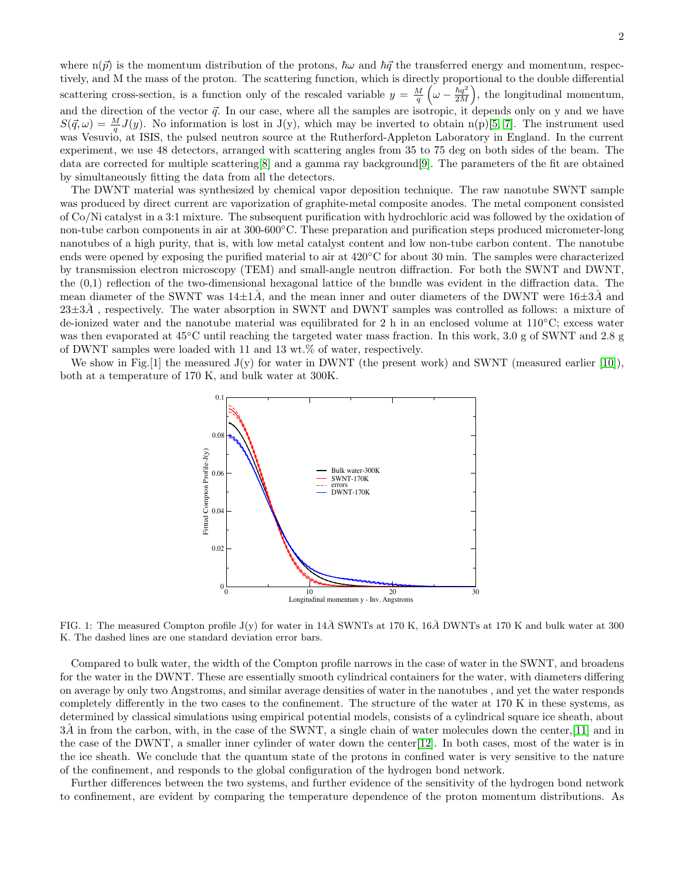where  $n(\vec{p})$  is the momentum distribution of the protons,  $\hbar\omega$  and  $\hbar\vec{q}$  the transferred energy and momentum, respectively, and M the mass of the proton. The scattering function, which is directly proportional to the double differential scattering cross-section, is a function only of the rescaled variable  $y = \frac{M}{q} \left( \omega - \frac{\hbar q^2}{2M} \right)$  $\left(\frac{\hbar q^2}{2M}\right)$ , the longitudinal momentum, and the direction of the vector  $\vec{q}$ . In our case, where all the samples are isotropic, it depends only on y and we have  $S(\vec{q}, \omega) = \frac{M}{q}J(y)$ . No information is lost in J(y), which may be inverted to obtain n(p)[\[5,](#page-4-4) [7\]](#page-4-6). The instrument used was Vesuvio, at ISIS, the pulsed neutron source at the Rutherford-Appleton Laboratory in England. In the current experiment, we use 48 detectors, arranged with scattering angles from 35 to 75 deg on both sides of the beam. The data are corrected for multiple scattering[\[8\]](#page-4-7) and a gamma ray background[\[9\]](#page-4-8). The parameters of the fit are obtained by simultaneously fitting the data from all the detectors.

The DWNT material was synthesized by chemical vapor deposition technique. The raw nanotube SWNT sample was produced by direct current arc vaporization of graphite-metal composite anodes. The metal component consisted of Co/Ni catalyst in a 3:1 mixture. The subsequent purification with hydrochloric acid was followed by the oxidation of non-tube carbon components in air at 300-600◦C. These preparation and purification steps produced micrometer-long nanotubes of a high purity, that is, with low metal catalyst content and low non-tube carbon content. The nanotube ends were opened by exposing the purified material to air at 420◦C for about 30 min. The samples were characterized by transmission electron microscopy (TEM) and small-angle neutron diffraction. For both the SWNT and DWNT, the (0,1) reflection of the two-dimensional hexagonal lattice of the bundle was evident in the diffraction data. The mean diameter of the SWNT was  $14\pm1\AA$ , and the mean inner and outer diameters of the DWNT were  $16\pm3\AA$  and  $23\pm3\AA$ , respectively. The water absorption in SWNT and DWNT samples was controlled as follows: a mixture of de-ionized water and the nanotube material was equilibrated for 2 h in an enclosed volume at 110◦C; excess water was then evaporated at  $45^{\circ}$ C until reaching the targeted water mass fraction. In this work, 3.0 g of SWNT and 2.8 g of DWNT samples were loaded with 11 and 13 wt.% of water, respectively.

We show in Fig. [1] the measured  $J(y)$  for water in DWNT (the present work) and SWNT (measured earlier [\[10\]](#page-4-9)), both at a temperature of 170 K, and bulk water at 300K.



FIG. 1: The measured Compton profile  $J(y)$  for water in 14Å SWNTs at 170 K, 16Å DWNTs at 170 K and bulk water at 300 K. The dashed lines are one standard deviation error bars.

Compared to bulk water, the width of the Compton profile narrows in the case of water in the SWNT, and broadens for the water in the DWNT. These are essentially smooth cylindrical containers for the water, with diameters differing on average by only two Angstroms, and similar average densities of water in the nanotubes , and yet the water responds completely differently in the two cases to the confinement. The structure of the water at 170 K in these systems, as determined by classical simulations using empirical potential models, consists of a cylindrical square ice sheath, about  $3\AA$  in from the carbon, with, in the case of the SWNT, a single chain of water molecules down the center, [\[11\]](#page-4-10) and in the case of the DWNT, a smaller inner cylinder of water down the center[\[12\]](#page-4-11). In both cases, most of the water is in the ice sheath. We conclude that the quantum state of the protons in confined water is very sensitive to the nature of the confinement, and responds to the global configuration of the hydrogen bond network.

Further differences between the two systems, and further evidence of the sensitivity of the hydrogen bond network to confinement, are evident by comparing the temperature dependence of the proton momentum distributions. As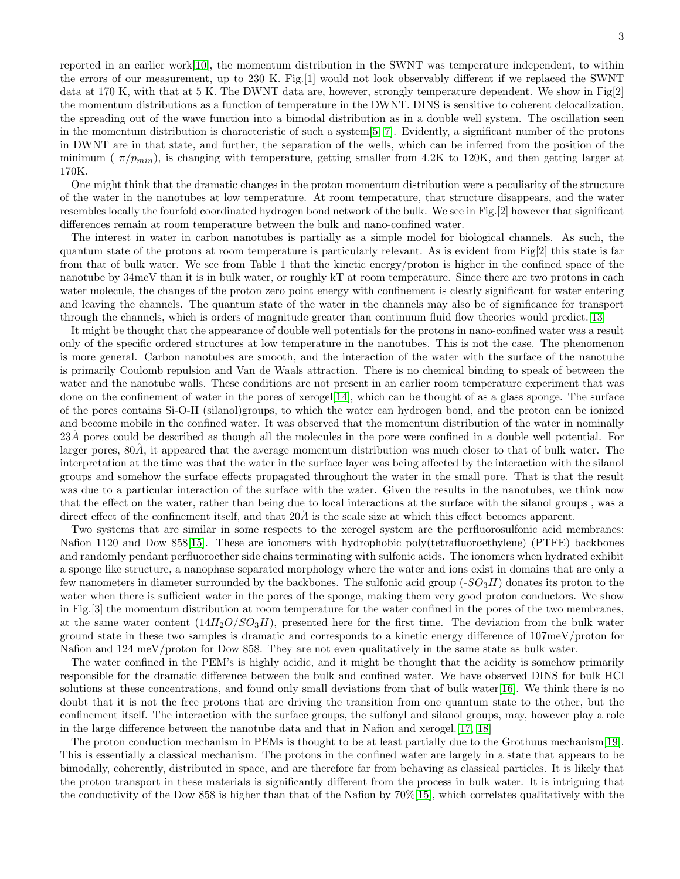reported in an earlier work[\[10\]](#page-4-9), the momentum distribution in the SWNT was temperature independent, to within the errors of our measurement, up to 230 K. Fig.[1] would not look observably different if we replaced the SWNT data at 170 K, with that at 5 K. The DWNT data are, however, strongly temperature dependent. We show in Fig[2] the momentum distributions as a function of temperature in the DWNT. DINS is sensitive to coherent delocalization, the spreading out of the wave function into a bimodal distribution as in a double well system. The oscillation seen in the momentum distribution is characteristic of such a system[\[5,](#page-4-4) [7\]](#page-4-6). Evidently, a significant number of the protons in DWNT are in that state, and further, the separation of the wells, which can be inferred from the position of the minimum ( $\pi/p_{min}$ ), is changing with temperature, getting smaller from 4.2K to 120K, and then getting larger at 170K.

One might think that the dramatic changes in the proton momentum distribution were a peculiarity of the structure of the water in the nanotubes at low temperature. At room temperature, that structure disappears, and the water resembles locally the fourfold coordinated hydrogen bond network of the bulk. We see in Fig.[2] however that significant differences remain at room temperature between the bulk and nano-confined water.

The interest in water in carbon nanotubes is partially as a simple model for biological channels. As such, the quantum state of the protons at room temperature is particularly relevant. As is evident from Fig[2] this state is far from that of bulk water. We see from Table 1 that the kinetic energy/proton is higher in the confined space of the nanotube by 34meV than it is in bulk water, or roughly kT at room temperature. Since there are two protons in each water molecule, the changes of the proton zero point energy with confinement is clearly significant for water entering and leaving the channels. The quantum state of the water in the channels may also be of significance for transport through the channels, which is orders of magnitude greater than continuum fluid flow theories would predict.[\[13\]](#page-4-12)

It might be thought that the appearance of double well potentials for the protons in nano-confined water was a result only of the specific ordered structures at low temperature in the nanotubes. This is not the case. The phenomenon is more general. Carbon nanotubes are smooth, and the interaction of the water with the surface of the nanotube is primarily Coulomb repulsion and Van de Waals attraction. There is no chemical binding to speak of between the water and the nanotube walls. These conditions are not present in an earlier room temperature experiment that was done on the confinement of water in the pores of xerogel[\[14\]](#page-4-13), which can be thought of as a glass sponge. The surface of the pores contains Si-O-H (silanol)groups, to which the water can hydrogen bond, and the proton can be ionized and become mobile in the confined water. It was observed that the momentum distribution of the water in nominally 23Å pores could be described as though all the molecules in the pore were confined in a double well potential. For larger pores,  $80\AA$ , it appeared that the average momentum distribution was much closer to that of bulk water. The interpretation at the time was that the water in the surface layer was being affected by the interaction with the silanol groups and somehow the surface effects propagated throughout the water in the small pore. That is that the result was due to a particular interaction of the surface with the water. Given the results in the nanotubes, we think now that the effect on the water, rather than being due to local interactions at the surface with the silanol groups , was a direct effect of the confinement itself, and that  $20\AA$  is the scale size at which this effect becomes apparent.

Two systems that are similar in some respects to the xerogel system are the perfluorosulfonic acid membranes: Nafion 1120 and Dow 858[\[15\]](#page-4-14). These are ionomers with hydrophobic poly(tetrafluoroethylene) (PTFE) backbones and randomly pendant perfluoroether side chains terminating with sulfonic acids. The ionomers when hydrated exhibit a sponge like structure, a nanophase separated morphology where the water and ions exist in domains that are only a few nanometers in diameter surrounded by the backbones. The sulfonic acid group  $(-SO_3H)$  donates its proton to the water when there is sufficient water in the pores of the sponge, making them very good proton conductors. We show in Fig.[3] the momentum distribution at room temperature for the water confined in the pores of the two membranes, at the same water content  $(14H<sub>2</sub>O/SO<sub>3</sub>H)$ , presented here for the first time. The deviation from the bulk water ground state in these two samples is dramatic and corresponds to a kinetic energy difference of 107meV/proton for Nafion and 124 meV/proton for Dow 858. They are not even qualitatively in the same state as bulk water.

The water confined in the PEM's is highly acidic, and it might be thought that the acidity is somehow primarily responsible for the dramatic difference between the bulk and confined water. We have observed DINS for bulk HCl solutions at these concentrations, and found only small deviations from that of bulk water[\[16\]](#page-4-15). We think there is no doubt that it is not the free protons that are driving the transition from one quantum state to the other, but the confinement itself. The interaction with the surface groups, the sulfonyl and silanol groups, may, however play a role in the large difference between the nanotube data and that in Nafion and xerogel.[\[17,](#page-4-16) [18\]](#page-4-17)

The proton conduction mechanism in PEMs is thought to be at least partially due to the Grothuus mechanism[\[19\]](#page-4-18). This is essentially a classical mechanism. The protons in the confined water are largely in a state that appears to be bimodally, coherently, distributed in space, and are therefore far from behaving as classical particles. It is likely that the proton transport in these materials is significantly different from the process in bulk water. It is intriguing that the conductivity of the Dow 858 is higher than that of the Nafion by 70%[\[15\]](#page-4-14), which correlates qualitatively with the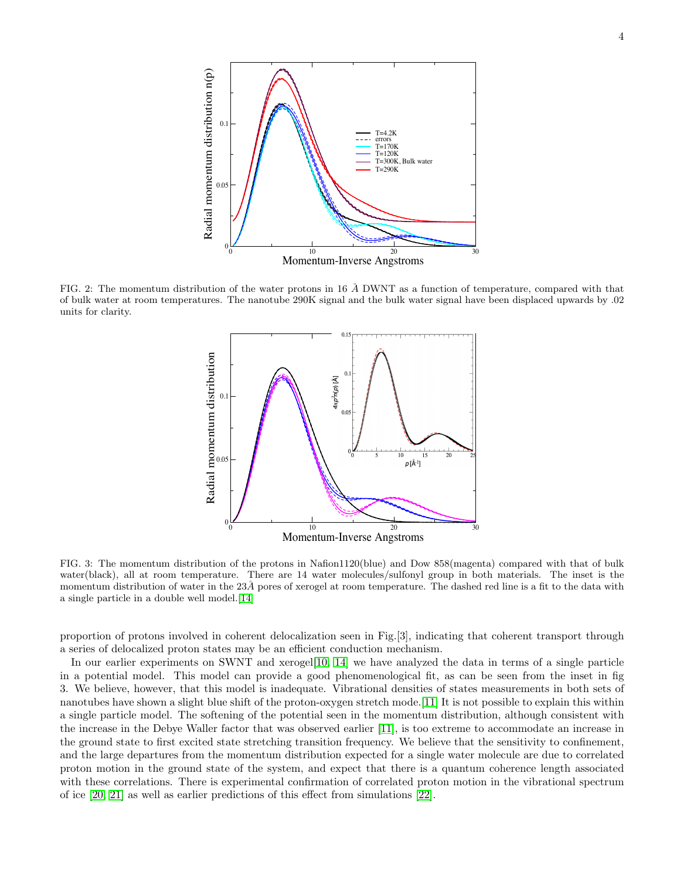

FIG. 2: The momentum distribution of the water protons in 16  $\AA$  DWNT as a function of temperature, compared with that of bulk water at room temperatures. The nanotube 290K signal and the bulk water signal have been displaced upwards by .02 units for clarity.



FIG. 3: The momentum distribution of the protons in Nafion1120(blue) and Dow 858(magenta) compared with that of bulk water(black), all at room temperature. There are 14 water molecules/sulfonyl group in both materials. The inset is the momentum distribution of water in the  $23\AA$  pores of xerogel at room temperature. The dashed red line is a fit to the data with a single particle in a double well model.[\[14\]](#page-4-13)

proportion of protons involved in coherent delocalization seen in Fig.[3], indicating that coherent transport through a series of delocalized proton states may be an efficient conduction mechanism.

In our earlier experiments on SWNT and xerogel[\[10,](#page-4-9) [14\]](#page-4-13) we have analyzed the data in terms of a single particle in a potential model. This model can provide a good phenomenological fit, as can be seen from the inset in fig 3. We believe, however, that this model is inadequate. Vibrational densities of states measurements in both sets of nanotubes have shown a slight blue shift of the proton-oxygen stretch mode.[\[11\]](#page-4-10) It is not possible to explain this within a single particle model. The softening of the potential seen in the momentum distribution, although consistent with the increase in the Debye Waller factor that was observed earlier [\[11\]](#page-4-10), is too extreme to accommodate an increase in the ground state to first excited state stretching transition frequency. We believe that the sensitivity to confinement, and the large departures from the momentum distribution expected for a single water molecule are due to correlated proton motion in the ground state of the system, and expect that there is a quantum coherence length associated with these correlations. There is experimental confirmation of correlated proton motion in the vibrational spectrum of ice [\[20,](#page-4-19) [21\]](#page-4-20) as well as earlier predictions of this effect from simulations [\[22\]](#page-4-21).